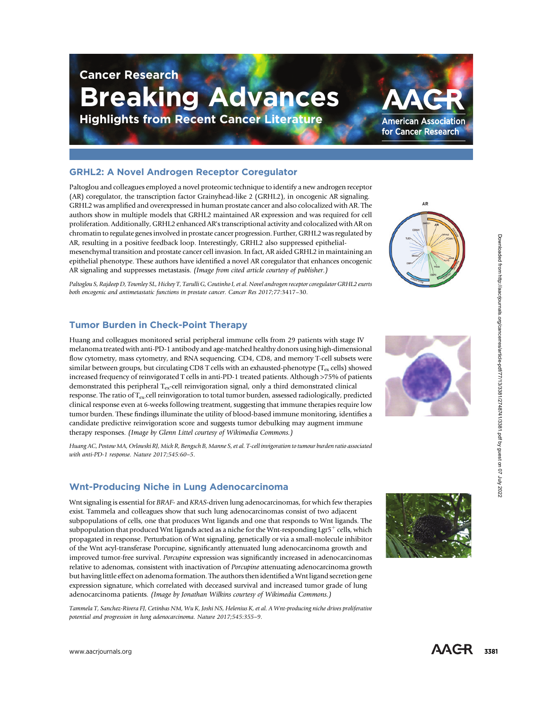# Breaking Advances

Highlights from Recent Cancer Literature

## GRHL2: A Novel Androgen Receptor Coregulator

Cancer Research

Paltoglou and colleagues employed a novel proteomic technique to identify a new androgen receptor (AR) coregulator, the transcription factor Grainyhead-like 2 (GRHL2), in oncogenic AR signaling. GRHL2 was ampli fied and overexpressed in human prostate cancer and also colocalized with AR. The authors show in multiple models that GRHL2 maintained AR expression and was required for cell proliferation. Additionally, GRHL2 enhanced AR's transcriptional activity and colocalized with AR on chromatin to regulate genes involved in prostate cancer progression. Further, GRHL2 was regulated by AR, resulting in a positive feedback loop. Interestingly, GRHL2 also suppressed epithelialmesenchymal transition and prostate cancer cell invasion. In fact, AR aided GRHL2 in maintaining an epithelial phenotype. These authors have identi fied a novel AR coregulator that enhances oncogenic AR signaling and suppresses metastasis. (Image from cited article courtesy of publisher.)

Paltoglou S, Rajdeep D, Townley SL, Hickey T, Tarulli G, Coutinho I, et al. Novel androgen receptor coregulator GRHL2 exerts both oncogenic and antimetastatic functions in prostate cancer. Cancer Res 2017;77:3417 –30.

## Tumor Burden in Check-Point Therapy

Huang and colleagues monitored serial peripheral immune cells from 29 patients with stage IV melanoma treated with anti-PD-1 antibody and age-matched healthy donors using high-dimensional flow cytometry, mass cytometry, and RNA sequencing. CD4, CD8, and memory T-cell subsets were similar between groups, but circulating CD8 T cells with an exhausted-phenotype (T<sub>ex</sub> cells) showed increased frequency of reinvigorated T cells in anti-PD-1 treated patients. Although >75% of patients demonstrated this peripheral  $T_{ex}$ -cell reinvigoration signal, only a third demonstrated clinical response. The ratio of  $T_{ex}$ -cell reinvigoration to total tumor burden, assessed radiologically, predicted clinical response even at 6-weeks following treatment, suggesting that immune therapies require low tumor burden. These findings illuminate the utility of blood-based immune monitoring, identi fies a candidate predictive reinvigoration score and suggests tumor debulking may augment immune therapy responses. (Image by Glenn Littel courtesy of Wikimedia Commons.)

Huang AC, Postow MA, Orlowski RJ, Mick R, Bengsch B, Manne S, et al. T-cell invigoration to tumour burden ratio associated with anti-PD-1 response. Nature 2017;545:60-5.

### Wnt-Producing Niche in Lung Adenocarcinoma

Wnt signaling is essential for BRAF- and KRAS-driven lung adenocarcinomas, for which few therapies exist. Tammela and colleagues show that such lung adenocarcinomas consist of two adjacent subpopulations of cells, one that produces Wnt ligands and one that responds to Wnt ligands. The subpopulation that produced Wnt ligands acted as a niche for the Wnt-responding Lgr5 $^+$  cells, which propagated in response. Perturbation of Wnt signaling, genetically or via a small-molecule inhibitor of the Wnt acyl-transferase Porcupine, signi ficantly attenuated lung adenocarcinoma growth and improved tumor-free survival. Porcupine expression was significantly increased in adenocarcinomas relative to adenomas, consistent with inactivation of Porcupine attenuating adenocarcinoma growth but having little effect on adenoma formation. The authors then identi fied a Wnt ligand secretion gene expression signature, which correlated with deceased survival and increased tumor grade of lung adenocarcinoma patients. (Image by Jonathan Wilkins courtesy of Wikimedia Commons.) At enoting the product control in the state and the state of the state of the state of the state of the state of the state of the state of the state of the state of the state of the state of the state of the state of the

Tammela T, Sanchez-Rivera FJ, Cetinbas NM, Wu K, Joshi NS, Helenius K, et al. A Wnt-producing niche drives proliferative potential and progression in lung adenocarcinoma. Nature 2017;545:355 – 9 .







**American Association** for Cancer Research

AR